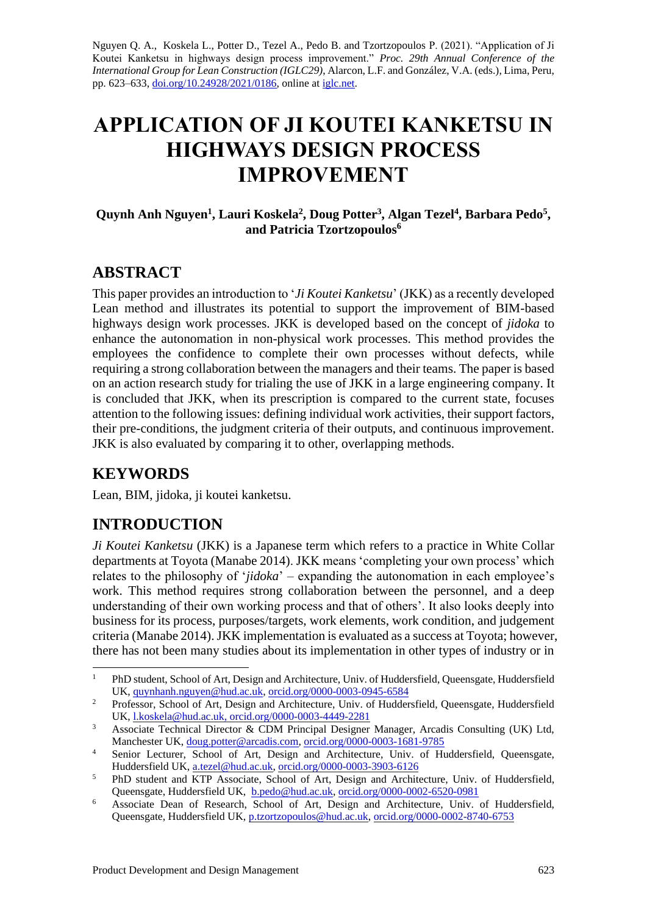Nguyen Q. A., Koskela L., Potter D., Tezel A., Pedo B. and Tzortzopoulos P. (2021). "Application of Ji Koutei Kanketsu in highways design process improvement." *Proc. 29th Annual Conference of the International Group for Lean Construction (IGLC29)*, Alarcon, L.F. and González, V.A. (eds.), Lima, Peru, pp. 623–633, [doi.org/10.24928/2021/0186,](https://doi.org/10.24928/2021/XXXX) online a[t iglc.net.](http://iglc.net/)

# **APPLICATION OF JI KOUTEI KANKETSU IN HIGHWAYS DESIGN PROCESS IMPROVEMENT**

#### **Quynh Anh Nguyen<sup>1</sup> , Lauri Koskela<sup>2</sup> , Doug Potter<sup>3</sup> , Algan Tezel<sup>4</sup> , Barbara Pedo<sup>5</sup> , and Patricia Tzortzopoulos<sup>6</sup>**

## **ABSTRACT**

This paper provides an introduction to '*Ji Koutei Kanketsu*' (JKK) as a recently developed Lean method and illustrates its potential to support the improvement of BIM-based highways design work processes. JKK is developed based on the concept of *jidoka* to enhance the autonomation in non-physical work processes. This method provides the employees the confidence to complete their own processes without defects, while requiring a strong collaboration between the managers and their teams. The paper is based on an action research study for trialing the use of JKK in a large engineering company. It is concluded that JKK, when its prescription is compared to the current state, focuses attention to the following issues: defining individual work activities, their support factors, their pre-conditions, the judgment criteria of their outputs, and continuous improvement. JKK is also evaluated by comparing it to other, overlapping methods.

# **KEYWORDS**

Lean, BIM, jidoka, ji koutei kanketsu.

# **INTRODUCTION**

*Ji Koutei Kanketsu* (JKK) is a Japanese term which refers to a practice in White Collar departments at Toyota (Manabe 2014). JKK means 'completing your own process' which relates to the philosophy of '*jidoka*' – expanding the autonomation in each employee's work. This method requires strong collaboration between the personnel, and a deep understanding of their own working process and that of others'. It also looks deeply into business for its process, purposes/targets, work elements, work condition, and judgement criteria (Manabe 2014). JKK implementation is evaluated as a success at Toyota; however, there has not been many studies about its implementation in other types of industry or in

<sup>&</sup>lt;sup>1</sup> PhD student, School of Art, Design and Architecture, Univ. of Huddersfield, Queensgate, Huddersfield UK[, quynhanh.nguyen@hud.ac.uk,](mailto:quynhanh.nguyen@hud.ac.uk) [orcid.org/0000-0003-0945-6584](https://orcid.org/0000-0003-0945-6584)

<sup>&</sup>lt;sup>2</sup> Professor, School of Art, Design and Architecture, Univ. of Huddersfield, Queensgate, Huddersfield UK[, l.koskela@hud.ac.uk,](mailto:l.koskela@hud.ac.uk) [orcid.org/0000-0003-4449-2281](https://orcid.org/0000-0003-4449-2281)

<sup>&</sup>lt;sup>3</sup> Associate Technical Director & CDM Principal Designer Manager, Arcadis Consulting (UK) Ltd, Manchester UK[, doug.potter@arcadis.com,](mailto:doug.potter@arcadis.com) [orcid.org/0000-0003-1681-9785](https://orcid.org/0000-0003-1681-9785)

<sup>&</sup>lt;sup>4</sup> Senior Lecturer, School of Art, Design and Architecture, Univ. of Huddersfield, Queensgate, Huddersfield UK, [a.tezel@hud.ac.uk,](mailto:a.tezel@hud.ac.uk) [orcid.org/0000-0003-3903-6126](https://orcid.org/0000-0003-3903-6126)

<sup>&</sup>lt;sup>5</sup> PhD student and KTP Associate, School of Art, Design and Architecture, Univ. of Huddersfield, Queensgate, Huddersfield UK, [b.pedo@hud.ac.uk,](mailto:b.pedo@hud.ac.uk) [orcid.org/0000-0002-6520-0981](https://orcid.org/0000-0002-6520-0981)

<sup>&</sup>lt;sup>6</sup> Associate Dean of Research, School of Art, Design and Architecture, Univ. of Huddersfield, Queensgate, Huddersfield UK, [p.tzortzopoulos@hud.ac.uk,](mailto:p.tzortzopoulos@hud.ac.uk) [orcid.org/0000-0002-8740-6753](https://orcid.org/0000-0002-8740-6753)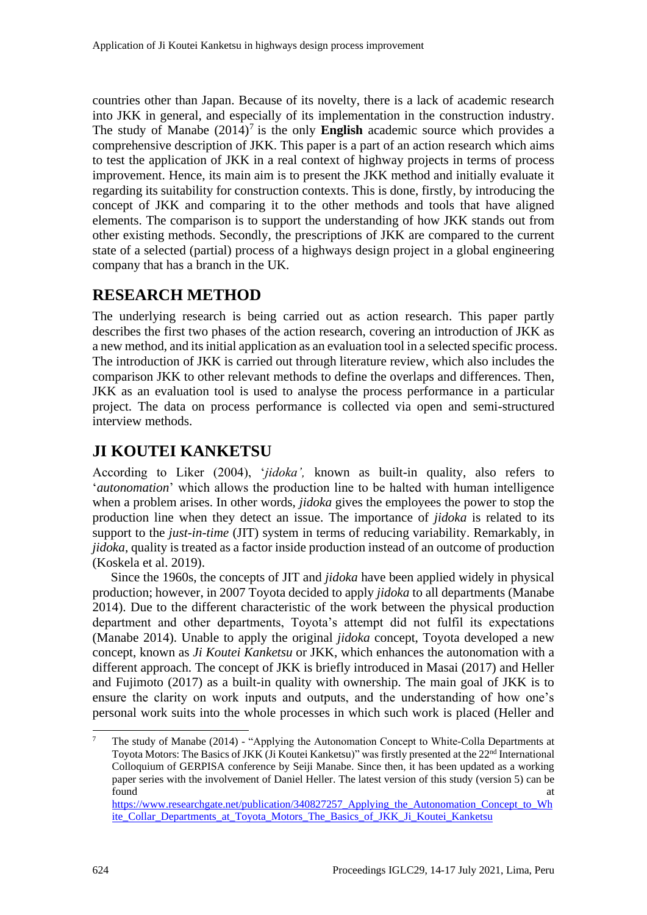countries other than Japan. Because of its novelty, there is a lack of academic research into JKK in general, and especially of its implementation in the construction industry. The study of Manabe  $(2014)^7$  is the only **English** academic source which provides a comprehensive description of JKK. This paper is a part of an action research which aims to test the application of JKK in a real context of highway projects in terms of process improvement. Hence, its main aim is to present the JKK method and initially evaluate it regarding its suitability for construction contexts. This is done, firstly, by introducing the concept of JKK and comparing it to the other methods and tools that have aligned elements. The comparison is to support the understanding of how JKK stands out from other existing methods. Secondly, the prescriptions of JKK are compared to the current state of a selected (partial) process of a highways design project in a global engineering company that has a branch in the UK.

# **RESEARCH METHOD**

The underlying research is being carried out as action research. This paper partly describes the first two phases of the action research, covering an introduction of JKK as a new method, and its initial application as an evaluation tool in a selected specific process. The introduction of JKK is carried out through literature review, which also includes the comparison JKK to other relevant methods to define the overlaps and differences. Then, JKK as an evaluation tool is used to analyse the process performance in a particular project. The data on process performance is collected via open and semi-structured interview methods.

# **JI KOUTEI KANKETSU**

According to Liker (2004), '*jidoka',* known as built-in quality, also refers to '*autonomation*' which allows the production line to be halted with human intelligence when a problem arises. In other words, *jidoka* gives the employees the power to stop the production line when they detect an issue. The importance of *jidoka* is related to its support to the *just-in-time* (JIT) system in terms of reducing variability. Remarkably, in *jidoka*, quality is treated as a factor inside production instead of an outcome of production (Koskela et al. 2019).

Since the 1960s, the concepts of JIT and *jidoka* have been applied widely in physical production; however, in 2007 Toyota decided to apply *jidoka* to all departments (Manabe 2014). Due to the different characteristic of the work between the physical production department and other departments, Toyota's attempt did not fulfil its expectations (Manabe 2014). Unable to apply the original *jidoka* concept, Toyota developed a new concept, known as *Ji Koutei Kanketsu* or JKK, which enhances the autonomation with a different approach. The concept of JKK is briefly introduced in Masai (2017) and Heller and Fujimoto (2017) as a built-in quality with ownership. The main goal of JKK is to ensure the clarity on work inputs and outputs, and the understanding of how one's personal work suits into the whole processes in which such work is placed (Heller and

<sup>7</sup> The study of Manabe (2014) - "Applying the Autonomation Concept to White-Colla Departments at Toyota Motors: The Basics of JKK (Ji Koutei Kanketsu)" was firstly presented at the 22<sup>nd</sup> International Colloquium of GERPISA conference by Seiji Manabe. Since then, it has been updated as a working paper series with the involvement of Daniel Heller. The latest version of this study (version 5) can be found at the contract of the contract of the contract of the contract of the contract of the contract of the contract of the contract of the contract of the contract of the contract of the contract of the contract of the c [https://www.researchgate.net/publication/340827257\\_Applying\\_the\\_Autonomation\\_Concept\\_to\\_Wh](https://www.researchgate.net/publication/340827257_Applying_the_Autonomation_Concept_to_White_Collar_Departments_at_Toyota_Motors_The_Basics_of_JKK_Ji_Koutei_Kanketsu) [ite\\_Collar\\_Departments\\_at\\_Toyota\\_Motors\\_The\\_Basics\\_of\\_JKK\\_Ji\\_Koutei\\_Kanketsu](https://www.researchgate.net/publication/340827257_Applying_the_Autonomation_Concept_to_White_Collar_Departments_at_Toyota_Motors_The_Basics_of_JKK_Ji_Koutei_Kanketsu)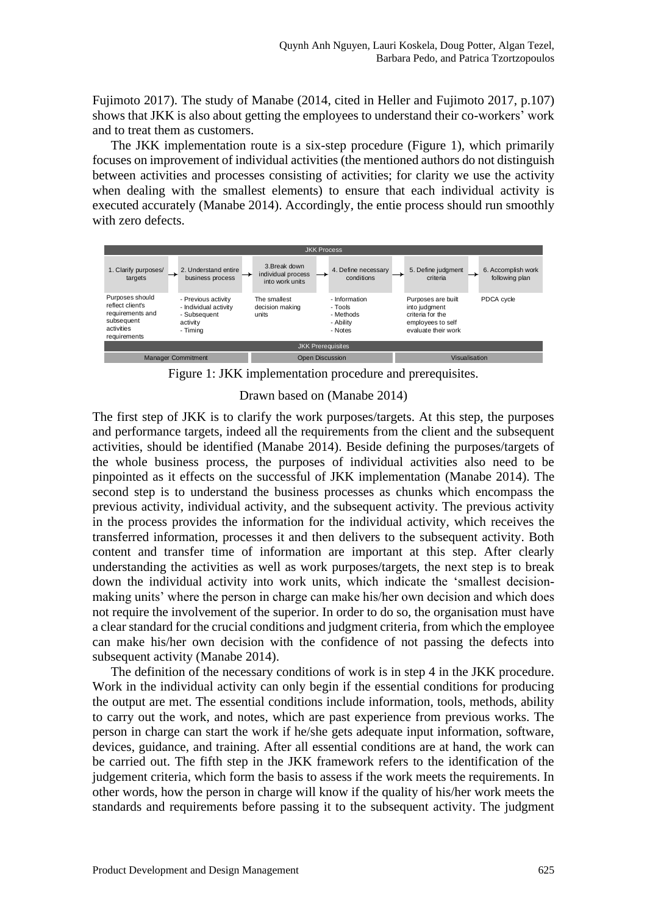Fujimoto 2017). The study of Manabe (2014, cited in Heller and Fujimoto 2017, p.107) shows that JKK is also about getting the employees to understand their co-workers' work and to treat them as customers.

The JKK implementation route is a six-step procedure (Figure 1), which primarily focuses on improvement of individual activities (the mentioned authors do not distinguish between activities and processes consisting of activities; for clarity we use the activity when dealing with the smallest elements) to ensure that each individual activity is executed accurately (Manabe 2014). Accordingly, the entie process should run smoothly with zero defects.





Drawn based on (Manabe 2014)

The first step of JKK is to clarify the work purposes/targets. At this step, the purposes and performance targets, indeed all the requirements from the client and the subsequent activities, should be identified (Manabe 2014). Beside defining the purposes/targets of the whole business process, the purposes of individual activities also need to be pinpointed as it effects on the successful of JKK implementation (Manabe 2014). The second step is to understand the business processes as chunks which encompass the previous activity, individual activity, and the subsequent activity. The previous activity in the process provides the information for the individual activity, which receives the transferred information, processes it and then delivers to the subsequent activity. Both content and transfer time of information are important at this step. After clearly understanding the activities as well as work purposes/targets, the next step is to break down the individual activity into work units, which indicate the 'smallest decisionmaking units' where the person in charge can make his/her own decision and which does not require the involvement of the superior. In order to do so, the organisation must have a clear standard for the crucial conditions and judgment criteria, from which the employee can make his/her own decision with the confidence of not passing the defects into subsequent activity (Manabe 2014).

The definition of the necessary conditions of work is in step 4 in the JKK procedure. Work in the individual activity can only begin if the essential conditions for producing the output are met. The essential conditions include information, tools, methods, ability to carry out the work, and notes, which are past experience from previous works. The person in charge can start the work if he/she gets adequate input information, software, devices, guidance, and training. After all essential conditions are at hand, the work can be carried out. The fifth step in the JKK framework refers to the identification of the judgement criteria, which form the basis to assess if the work meets the requirements. In other words, how the person in charge will know if the quality of his/her work meets the standards and requirements before passing it to the subsequent activity. The judgment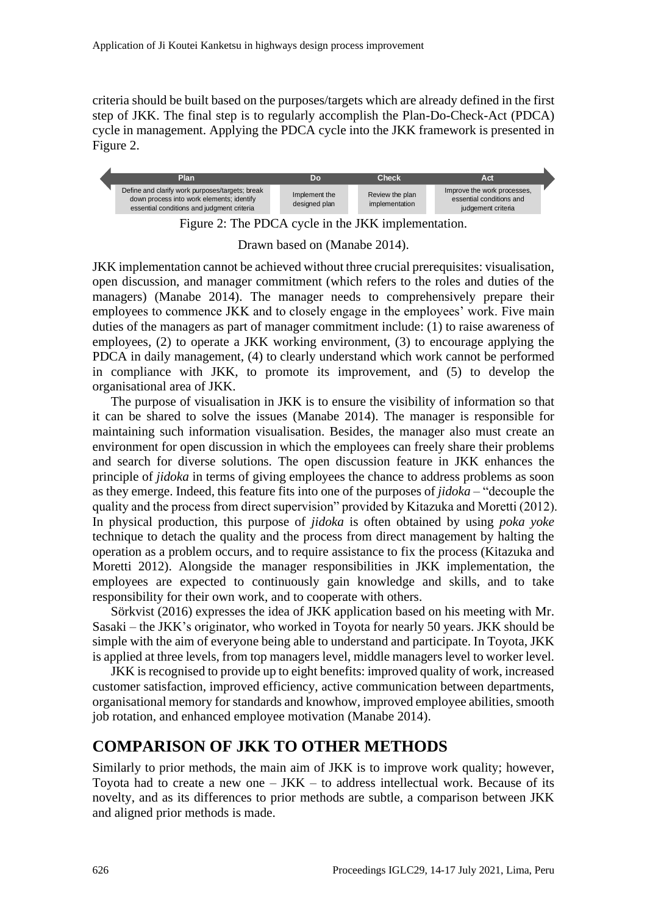criteria should be built based on the purposes/targets which are already defined in the first step of JKK. The final step is to regularly accomplish the Plan-Do-Check-Act (PDCA) cycle in management. Applying the PDCA cycle into the JKK framework is presented in Figure 2.



Figure 2: The PDCA cycle in the JKK implementation.

Drawn based on (Manabe 2014).

JKK implementation cannot be achieved without three crucial prerequisites: visualisation, open discussion, and manager commitment (which refers to the roles and duties of the managers) (Manabe 2014). The manager needs to comprehensively prepare their employees to commence JKK and to closely engage in the employees' work. Five main duties of the managers as part of manager commitment include: (1) to raise awareness of employees, (2) to operate a JKK working environment, (3) to encourage applying the PDCA in daily management, (4) to clearly understand which work cannot be performed in compliance with JKK, to promote its improvement, and (5) to develop the organisational area of JKK.

The purpose of visualisation in JKK is to ensure the visibility of information so that it can be shared to solve the issues (Manabe 2014). The manager is responsible for maintaining such information visualisation. Besides, the manager also must create an environment for open discussion in which the employees can freely share their problems and search for diverse solutions. The open discussion feature in JKK enhances the principle of *jidoka* in terms of giving employees the chance to address problems as soon as they emerge. Indeed, this feature fits into one of the purposes of *jidoka* – "decouple the quality and the process from direct supervision" provided by Kitazuka and Moretti (2012). In physical production, this purpose of *jidoka* is often obtained by using *poka yoke*  technique to detach the quality and the process from direct management by halting the operation as a problem occurs, and to require assistance to fix the process (Kitazuka and Moretti 2012). Alongside the manager responsibilities in JKK implementation, the employees are expected to continuously gain knowledge and skills, and to take responsibility for their own work, and to cooperate with others.

Sörkvist (2016) expresses the idea of JKK application based on his meeting with Mr. Sasaki – the JKK's originator, who worked in Toyota for nearly 50 years. JKK should be simple with the aim of everyone being able to understand and participate. In Toyota, JKK is applied at three levels, from top managers level, middle managers level to worker level.

JKK is recognised to provide up to eight benefits: improved quality of work, increased customer satisfaction, improved efficiency, active communication between departments, organisational memory for standards and knowhow, improved employee abilities, smooth job rotation, and enhanced employee motivation (Manabe 2014).

### **COMPARISON OF JKK TO OTHER METHODS**

Similarly to prior methods, the main aim of JKK is to improve work quality; however, Toyota had to create a new one  $-$  JKK  $-$  to address intellectual work. Because of its novelty, and as its differences to prior methods are subtle, a comparison between JKK and aligned prior methods is made.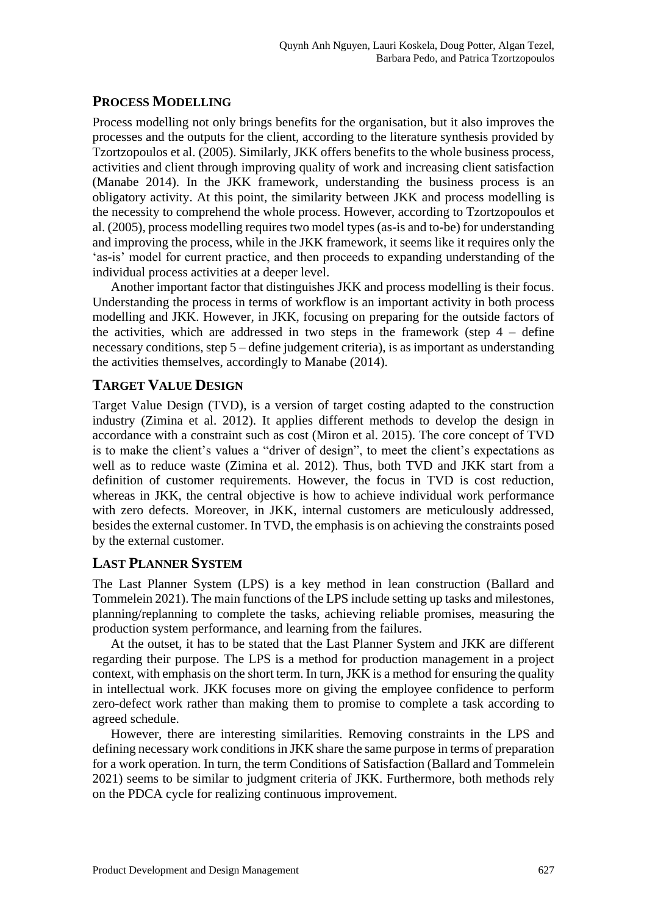#### **PROCESS MODELLING**

Process modelling not only brings benefits for the organisation, but it also improves the processes and the outputs for the client, according to the literature synthesis provided by Tzortzopoulos et al. (2005). Similarly, JKK offers benefits to the whole business process, activities and client through improving quality of work and increasing client satisfaction (Manabe 2014). In the JKK framework, understanding the business process is an obligatory activity. At this point, the similarity between JKK and process modelling is the necessity to comprehend the whole process. However, according to Tzortzopoulos et al. (2005), process modelling requires two model types (as-is and to-be) for understanding and improving the process, while in the JKK framework, it seems like it requires only the 'as-is' model for current practice, and then proceeds to expanding understanding of the individual process activities at a deeper level.

Another important factor that distinguishes JKK and process modelling is their focus. Understanding the process in terms of workflow is an important activity in both process modelling and JKK. However, in JKK, focusing on preparing for the outside factors of the activities, which are addressed in two steps in the framework (step  $4 -$  define necessary conditions, step 5 – define judgement criteria), is as important as understanding the activities themselves, accordingly to Manabe (2014).

#### **TARGET VALUE DESIGN**

Target Value Design (TVD), is a version of target costing adapted to the construction industry (Zimina et al. 2012). It applies different methods to develop the design in accordance with a constraint such as cost (Miron et al. 2015). The core concept of TVD is to make the client's values a "driver of design", to meet the client's expectations as well as to reduce waste (Zimina et al. 2012). Thus, both TVD and JKK start from a definition of customer requirements. However, the focus in TVD is cost reduction, whereas in JKK, the central objective is how to achieve individual work performance with zero defects. Moreover, in JKK, internal customers are meticulously addressed, besides the external customer. In TVD, the emphasis is on achieving the constraints posed by the external customer.

#### **LAST PLANNER SYSTEM**

The Last Planner System (LPS) is a key method in lean construction (Ballard and Tommelein 2021). The main functions of the LPS include setting up tasks and milestones, planning/replanning to complete the tasks, achieving reliable promises, measuring the production system performance, and learning from the failures.

At the outset, it has to be stated that the Last Planner System and JKK are different regarding their purpose. The LPS is a method for production management in a project context, with emphasis on the short term. In turn, JKK is a method for ensuring the quality in intellectual work. JKK focuses more on giving the employee confidence to perform zero-defect work rather than making them to promise to complete a task according to agreed schedule.

However, there are interesting similarities. Removing constraints in the LPS and defining necessary work conditions in JKK share the same purpose in terms of preparation for a work operation. In turn, the term Conditions of Satisfaction (Ballard and Tommelein 2021) seems to be similar to judgment criteria of JKK. Furthermore, both methods rely on the PDCA cycle for realizing continuous improvement.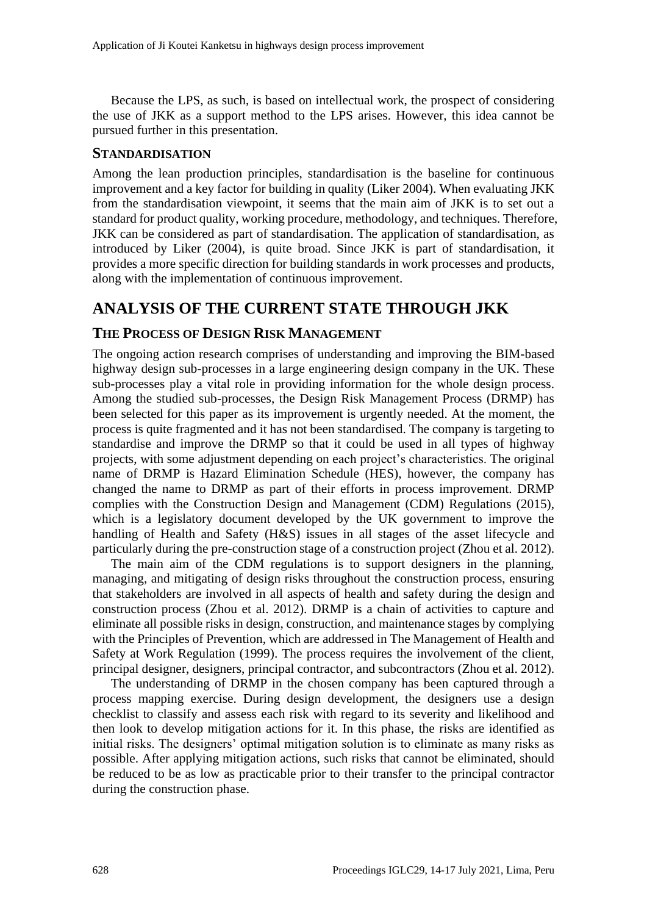Because the LPS, as such, is based on intellectual work, the prospect of considering the use of JKK as a support method to the LPS arises. However, this idea cannot be pursued further in this presentation.

#### **STANDARDISATION**

Among the lean production principles, standardisation is the baseline for continuous improvement and a key factor for building in quality (Liker 2004). When evaluating JKK from the standardisation viewpoint, it seems that the main aim of JKK is to set out a standard for product quality, working procedure, methodology, and techniques. Therefore, JKK can be considered as part of standardisation. The application of standardisation, as introduced by Liker (2004), is quite broad. Since JKK is part of standardisation, it provides a more specific direction for building standards in work processes and products, along with the implementation of continuous improvement.

### **ANALYSIS OF THE CURRENT STATE THROUGH JKK**

#### **THE PROCESS OF DESIGN RISK MANAGEMENT**

The ongoing action research comprises of understanding and improving the BIM-based highway design sub-processes in a large engineering design company in the UK. These sub-processes play a vital role in providing information for the whole design process. Among the studied sub-processes, the Design Risk Management Process (DRMP) has been selected for this paper as its improvement is urgently needed. At the moment, the process is quite fragmented and it has not been standardised. The company is targeting to standardise and improve the DRMP so that it could be used in all types of highway projects, with some adjustment depending on each project's characteristics. The original name of DRMP is Hazard Elimination Schedule (HES), however, the company has changed the name to DRMP as part of their efforts in process improvement. DRMP complies with the Construction Design and Management (CDM) Regulations (2015), which is a legislatory document developed by the UK government to improve the handling of Health and Safety (H&S) issues in all stages of the asset lifecycle and particularly during the pre-construction stage of a construction project (Zhou et al. 2012).

The main aim of the CDM regulations is to support designers in the planning, managing, and mitigating of design risks throughout the construction process, ensuring that stakeholders are involved in all aspects of health and safety during the design and construction process (Zhou et al. 2012). DRMP is a chain of activities to capture and eliminate all possible risks in design, construction, and maintenance stages by complying with the Principles of Prevention, which are addressed in The Management of Health and Safety at Work Regulation (1999). The process requires the involvement of the client, principal designer, designers, principal contractor, and subcontractors (Zhou et al. 2012).

The understanding of DRMP in the chosen company has been captured through a process mapping exercise. During design development, the designers use a design checklist to classify and assess each risk with regard to its severity and likelihood and then look to develop mitigation actions for it. In this phase, the risks are identified as initial risks. The designers' optimal mitigation solution is to eliminate as many risks as possible. After applying mitigation actions, such risks that cannot be eliminated, should be reduced to be as low as practicable prior to their transfer to the principal contractor during the construction phase.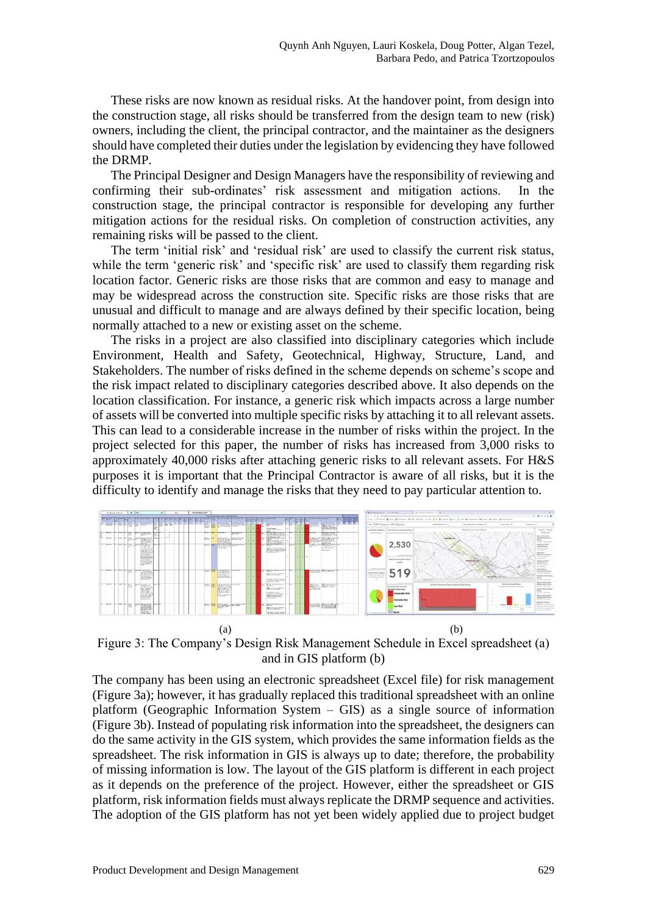These risks are now known as residual risks. At the handover point, from design into the construction stage, all risks should be transferred from the design team to new (risk) owners, including the client, the principal contractor, and the maintainer as the designers should have completed their duties under the legislation by evidencing they have followed the DRMP.

The Principal Designer and Design Managers have the responsibility of reviewing and confirming their sub-ordinates' risk assessment and mitigation actions. In the construction stage, the principal contractor is responsible for developing any further mitigation actions for the residual risks. On completion of construction activities, any remaining risks will be passed to the client.

The term 'initial risk' and 'residual risk' are used to classify the current risk status, while the term 'generic risk' and 'specific risk' are used to classify them regarding risk location factor. Generic risks are those risks that are common and easy to manage and may be widespread across the construction site. Specific risks are those risks that are unusual and difficult to manage and are always defined by their specific location, being normally attached to a new or existing asset on the scheme.

The risks in a project are also classified into disciplinary categories which include Environment, Health and Safety, Geotechnical, Highway, Structure, Land, and Stakeholders. The number of risks defined in the scheme depends on scheme's scope and the risk impact related to disciplinary categories described above. It also depends on the location classification. For instance, a generic risk which impacts across a large number of assets will be converted into multiple specific risks by attaching it to all relevant assets. This can lead to a considerable increase in the number of risks within the project. In the project selected for this paper, the number of risks has increased from 3,000 risks to approximately 40,000 risks after attaching generic risks to all relevant assets. For H&S purposes it is important that the Principal Contractor is aware of all risks, but it is the difficulty to identify and manage the risks that they need to pay particular attention to.



Figure 3: The Company's Design Risk Management Schedule in Excel spreadsheet (a) and in GIS platform (b)

The company has been using an electronic spreadsheet (Excel file) for risk management (Figure 3a); however, it has gradually replaced this traditional spreadsheet with an online platform (Geographic Information System  $-$  GIS) as a single source of information (Figure 3b). Instead of populating risk information into the spreadsheet, the designers can do the same activity in the GIS system, which provides the same information fields as the spreadsheet. The risk information in GIS is always up to date; therefore, the probability of missing information is low. The layout of the GIS platform is different in each project as it depends on the preference of the project. However, either the spreadsheet or GIS platform, risk information fields must always replicate the DRMP sequence and activities. The adoption of the GIS platform has not yet been widely applied due to project budget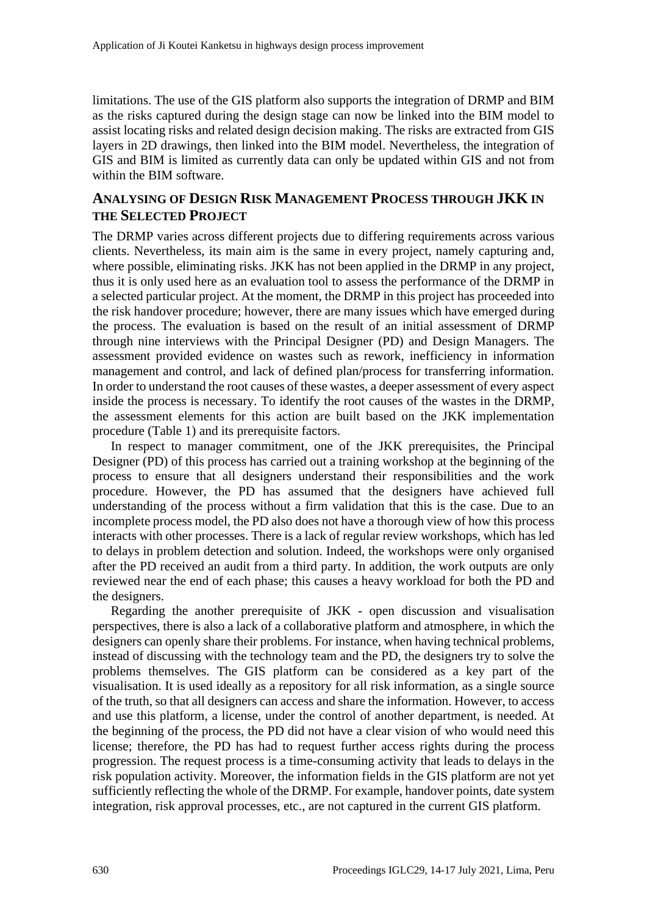limitations. The use of the GIS platform also supports the integration of DRMP and BIM as the risks captured during the design stage can now be linked into the BIM model to assist locating risks and related design decision making. The risks are extracted from GIS layers in 2D drawings, then linked into the BIM model. Nevertheless, the integration of GIS and BIM is limited as currently data can only be updated within GIS and not from within the BIM software.

#### **ANALYSING OF DESIGN RISK MANAGEMENT PROCESS THROUGH JKK IN THE SELECTED PROJECT**

The DRMP varies across different projects due to differing requirements across various clients. Nevertheless, its main aim is the same in every project, namely capturing and, where possible, eliminating risks. JKK has not been applied in the DRMP in any project, thus it is only used here as an evaluation tool to assess the performance of the DRMP in a selected particular project. At the moment, the DRMP in this project has proceeded into the risk handover procedure; however, there are many issues which have emerged during the process. The evaluation is based on the result of an initial assessment of DRMP through nine interviews with the Principal Designer (PD) and Design Managers. The assessment provided evidence on wastes such as rework, inefficiency in information management and control, and lack of defined plan/process for transferring information. In order to understand the root causes of these wastes, a deeper assessment of every aspect inside the process is necessary. To identify the root causes of the wastes in the DRMP, the assessment elements for this action are built based on the JKK implementation procedure (Table 1) and its prerequisite factors.

In respect to manager commitment, one of the JKK prerequisites, the Principal Designer (PD) of this process has carried out a training workshop at the beginning of the process to ensure that all designers understand their responsibilities and the work procedure. However, the PD has assumed that the designers have achieved full understanding of the process without a firm validation that this is the case. Due to an incomplete process model, the PD also does not have a thorough view of how this process interacts with other processes. There is a lack of regular review workshops, which has led to delays in problem detection and solution. Indeed, the workshops were only organised after the PD received an audit from a third party. In addition, the work outputs are only reviewed near the end of each phase; this causes a heavy workload for both the PD and the designers.

Regarding the another prerequisite of JKK - open discussion and visualisation perspectives, there is also a lack of a collaborative platform and atmosphere, in which the designers can openly share their problems. For instance, when having technical problems, instead of discussing with the technology team and the PD, the designers try to solve the problems themselves. The GIS platform can be considered as a key part of the visualisation. It is used ideally as a repository for all risk information, as a single source of the truth, so that all designers can access and share the information. However, to access and use this platform, a license, under the control of another department, is needed. At the beginning of the process, the PD did not have a clear vision of who would need this license; therefore, the PD has had to request further access rights during the process progression. The request process is a time-consuming activity that leads to delays in the risk population activity. Moreover, the information fields in the GIS platform are not yet sufficiently reflecting the whole of the DRMP. For example, handover points, date system integration, risk approval processes, etc., are not captured in the current GIS platform.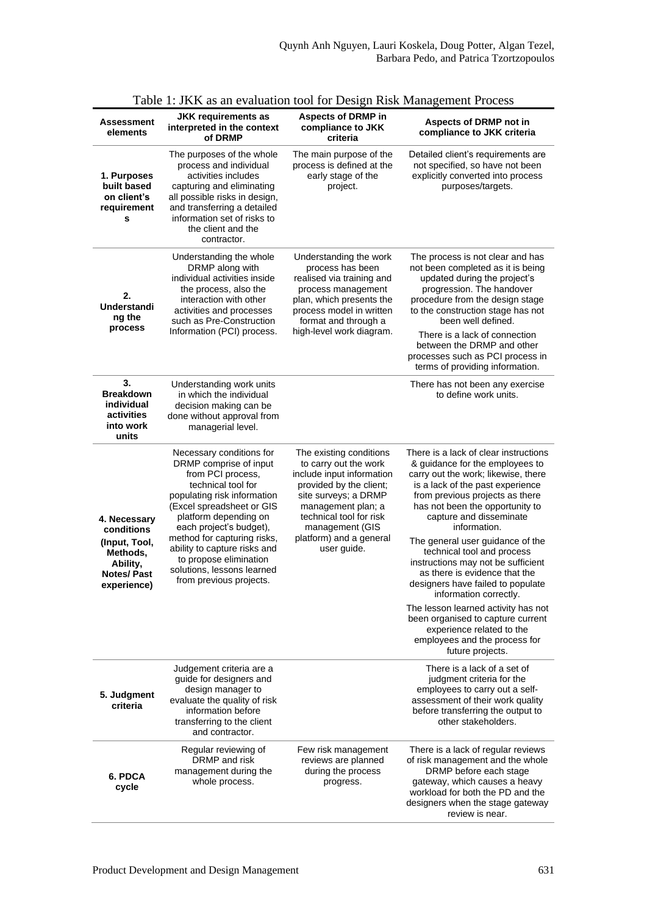| Assessment<br>elements                                                                                  | <b>JKK requirements as</b><br>interpreted in the context<br>of DRMP                                                                                                                                                                                                                                                                                             | <b>Aspects of DRMP in</b><br>compliance to JKK<br>criteria                                                                                                                                                                                     | <b>Aspects of DRMP not in</b><br>compliance to JKK criteria                                                                                                                                                                                                                                                                                                                                                                                                                                                                                                                                                                                |  |  |
|---------------------------------------------------------------------------------------------------------|-----------------------------------------------------------------------------------------------------------------------------------------------------------------------------------------------------------------------------------------------------------------------------------------------------------------------------------------------------------------|------------------------------------------------------------------------------------------------------------------------------------------------------------------------------------------------------------------------------------------------|--------------------------------------------------------------------------------------------------------------------------------------------------------------------------------------------------------------------------------------------------------------------------------------------------------------------------------------------------------------------------------------------------------------------------------------------------------------------------------------------------------------------------------------------------------------------------------------------------------------------------------------------|--|--|
| 1. Purposes<br>built based<br>on client's<br>requirement<br>s                                           | The purposes of the whole<br>process and individual<br>activities includes<br>capturing and eliminating<br>all possible risks in design,<br>and transferring a detailed<br>information set of risks to<br>the client and the<br>contractor.                                                                                                                     | The main purpose of the<br>process is defined at the<br>early stage of the<br>project.                                                                                                                                                         | Detailed client's requirements are<br>not specified, so have not been<br>explicitly converted into process<br>purposes/targets.                                                                                                                                                                                                                                                                                                                                                                                                                                                                                                            |  |  |
| 2.<br>Understandi<br>ng the<br>process                                                                  | Understanding the whole<br>DRMP along with<br>individual activities inside<br>the process, also the<br>interaction with other<br>activities and processes<br>such as Pre-Construction<br>Information (PCI) process.                                                                                                                                             | Understanding the work<br>process has been<br>realised via training and<br>process management<br>plan, which presents the<br>process model in written<br>format and through a<br>high-level work diagram.                                      | The process is not clear and has<br>not been completed as it is being<br>updated during the project's<br>progression. The handover<br>procedure from the design stage<br>to the construction stage has not<br>been well defined.<br>There is a lack of connection<br>between the DRMP and other<br>processes such as PCI process in<br>terms of providing information.                                                                                                                                                                                                                                                                     |  |  |
| 3.<br><b>Breakdown</b><br>individual<br>activities<br>into work<br>units                                | Understanding work units<br>in which the individual<br>decision making can be<br>done without approval from<br>managerial level.                                                                                                                                                                                                                                |                                                                                                                                                                                                                                                | There has not been any exercise<br>to define work units.                                                                                                                                                                                                                                                                                                                                                                                                                                                                                                                                                                                   |  |  |
| 4. Necessary<br>conditions<br>(Input, Tool,<br>Methods,<br>Ability,<br><b>Notes/Past</b><br>experience) | Necessary conditions for<br>DRMP comprise of input<br>from PCI process,<br>technical tool for<br>populating risk information<br>(Excel spreadsheet or GIS<br>platform depending on<br>each project's budget),<br>method for capturing risks,<br>ability to capture risks and<br>to propose elimination<br>solutions, lessons learned<br>from previous projects. | The existing conditions<br>to carry out the work<br>include input information<br>provided by the client;<br>site surveys; a DRMP<br>management plan; a<br>technical tool for risk<br>management (GIS<br>platform) and a general<br>user guide. | There is a lack of clear instructions<br>& guidance for the employees to<br>carry out the work; likewise, there<br>is a lack of the past experience<br>from previous projects as there<br>has not been the opportunity to<br>capture and disseminate<br>information.<br>The general user guidance of the<br>technical tool and process<br>instructions may not be sufficient<br>as there is evidence that the<br>designers have failed to populate<br>information correctly.<br>The lesson learned activity has not<br>been organised to capture current<br>experience related to the<br>employees and the process for<br>future projects. |  |  |
| 5. Judgment<br>criteria                                                                                 | Judgement criteria are a<br>guide for designers and<br>design manager to<br>evaluate the quality of risk<br>information before<br>transferring to the client<br>and contractor.                                                                                                                                                                                 |                                                                                                                                                                                                                                                | There is a lack of a set of<br>judgment criteria for the<br>employees to carry out a self-<br>assessment of their work quality<br>before transferring the output to<br>other stakeholders.                                                                                                                                                                                                                                                                                                                                                                                                                                                 |  |  |
| 6. PDCA<br>cycle                                                                                        | Regular reviewing of<br>DRMP and risk<br>management during the<br>whole process.                                                                                                                                                                                                                                                                                | Few risk management<br>reviews are planned<br>during the process<br>progress.                                                                                                                                                                  | There is a lack of regular reviews<br>of risk management and the whole<br>DRMP before each stage<br>gateway, which causes a heavy<br>workload for both the PD and the<br>designers when the stage gateway<br>review is near.                                                                                                                                                                                                                                                                                                                                                                                                               |  |  |

|  |  |  |  | Table 1: JKK as an evaluation tool for Design Risk Management Process |  |
|--|--|--|--|-----------------------------------------------------------------------|--|
|  |  |  |  |                                                                       |  |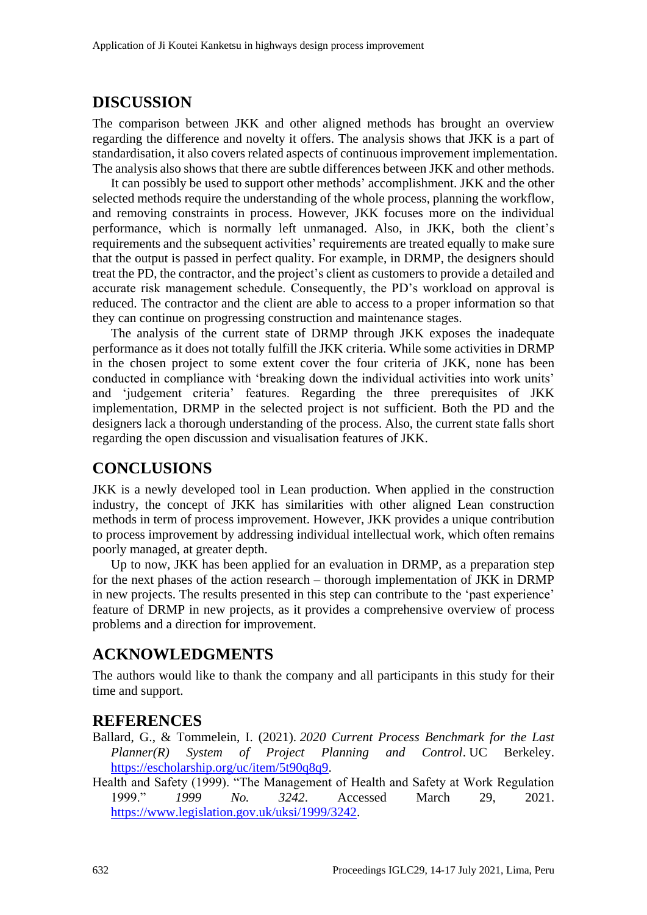### **DISCUSSION**

The comparison between JKK and other aligned methods has brought an overview regarding the difference and novelty it offers. The analysis shows that JKK is a part of standardisation, it also covers related aspects of continuous improvement implementation. The analysis also shows that there are subtle differences between JKK and other methods.

It can possibly be used to support other methods' accomplishment. JKK and the other selected methods require the understanding of the whole process, planning the workflow, and removing constraints in process. However, JKK focuses more on the individual performance, which is normally left unmanaged. Also, in JKK, both the client's requirements and the subsequent activities' requirements are treated equally to make sure that the output is passed in perfect quality. For example, in DRMP, the designers should treat the PD, the contractor, and the project's client as customers to provide a detailed and accurate risk management schedule. Consequently, the PD's workload on approval is reduced. The contractor and the client are able to access to a proper information so that they can continue on progressing construction and maintenance stages.

The analysis of the current state of DRMP through JKK exposes the inadequate performance as it does not totally fulfill the JKK criteria. While some activities in DRMP in the chosen project to some extent cover the four criteria of JKK, none has been conducted in compliance with 'breaking down the individual activities into work units' and 'judgement criteria' features. Regarding the three prerequisites of JKK implementation, DRMP in the selected project is not sufficient. Both the PD and the designers lack a thorough understanding of the process. Also, the current state falls short regarding the open discussion and visualisation features of JKK.

### **CONCLUSIONS**

JKK is a newly developed tool in Lean production. When applied in the construction industry, the concept of JKK has similarities with other aligned Lean construction methods in term of process improvement. However, JKK provides a unique contribution to process improvement by addressing individual intellectual work, which often remains poorly managed, at greater depth.

Up to now, JKK has been applied for an evaluation in DRMP, as a preparation step for the next phases of the action research – thorough implementation of JKK in DRMP in new projects. The results presented in this step can contribute to the 'past experience' feature of DRMP in new projects, as it provides a comprehensive overview of process problems and a direction for improvement.

### **ACKNOWLEDGMENTS**

The authors would like to thank the company and all participants in this study for their time and support.

#### **REFERENCES**

- Ballard, G., & Tommelein, I. (2021). *2020 Current Process Benchmark for the Last Planner(R) System of Project Planning and Control*. UC Berkeley. [https://escholarship.org/uc/item/5t90q8q9.](https://escholarship.org/uc/item/5t90q8q9)
- Health and Safety (1999). "The Management of Health and Safety at Work Regulation 1999." *1999 No. 3242*. Accessed March 29, 2021. [https://www.legislation.gov.uk/uksi/1999/3242.](https://www.legislation.gov.uk/uksi/1999/3242)